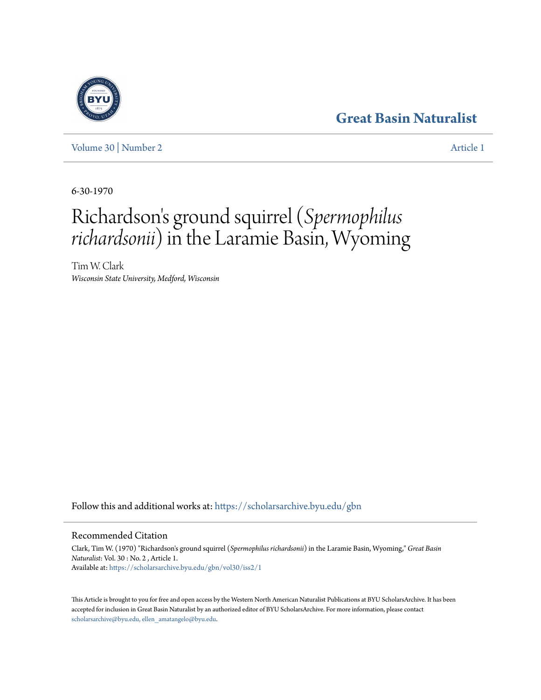# **[Great Basin Naturalist](https://scholarsarchive.byu.edu/gbn?utm_source=scholarsarchive.byu.edu%2Fgbn%2Fvol30%2Fiss2%2F1&utm_medium=PDF&utm_campaign=PDFCoverPages)**

[Volume 30](https://scholarsarchive.byu.edu/gbn/vol30?utm_source=scholarsarchive.byu.edu%2Fgbn%2Fvol30%2Fiss2%2F1&utm_medium=PDF&utm_campaign=PDFCoverPages) | [Number 2](https://scholarsarchive.byu.edu/gbn/vol30/iss2?utm_source=scholarsarchive.byu.edu%2Fgbn%2Fvol30%2Fiss2%2F1&utm_medium=PDF&utm_campaign=PDFCoverPages) [Article 1](https://scholarsarchive.byu.edu/gbn/vol30/iss2/1?utm_source=scholarsarchive.byu.edu%2Fgbn%2Fvol30%2Fiss2%2F1&utm_medium=PDF&utm_campaign=PDFCoverPages)

6-30-1970

# Richardson ' s ground squirrel (*Spermophilus richardsonii*) in the Laramie Basin, Wyoming

Tim W. Clark *Wisconsin State University, Medford, Wisconsin*

Follow this and additional works at: [https://scholarsarchive.byu.edu/gbn](https://scholarsarchive.byu.edu/gbn?utm_source=scholarsarchive.byu.edu%2Fgbn%2Fvol30%2Fiss2%2F1&utm_medium=PDF&utm_campaign=PDFCoverPages)

# Recommended Citation

Clark, Tim W. (1970) "Richardson's ground squirrel (*Spermophilus richardsonii*) in the Laramie Basin, Wyoming," *Great Basin Naturalist*: Vol. 30 : No. 2 , Article 1. Available at: [https://scholarsarchive.byu.edu/gbn/vol30/iss2/1](https://scholarsarchive.byu.edu/gbn/vol30/iss2/1?utm_source=scholarsarchive.byu.edu%2Fgbn%2Fvol30%2Fiss2%2F1&utm_medium=PDF&utm_campaign=PDFCoverPages)

This Article is brought to you for free and open access by the Western North American Naturalist Publications at BYU ScholarsArchive. It has been accepted for inclusion in Great Basin Naturalist by an authorized editor of BYU ScholarsArchive. For more information, please contact [scholarsarchive@byu.edu, ellen\\_amatangelo@byu.edu.](mailto:scholarsarchive@byu.edu,%20ellen_amatangelo@byu.edu)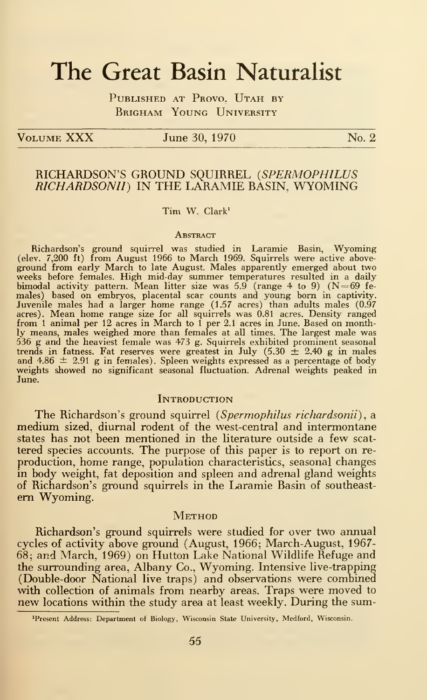# The Great Basin Naturalist

PUBLISHED AT PROVO. UTAH BY Brigham Young University

 $V$ OLUME  $XXX$  June 30, 1970  $N_0$ . 2

# RICHARDSON'S GROUND SQUIRREL (SPERMOPHILUS RICHARDSONIl) IN THE LARAMIE BASIN, WYOMING

## Tim W. Clark'

#### **ABSTRACT**

Richardson's ground squirrel was studied in Laramie Basin, Wyoming (elev. 7,200 ft) from August 1966 to March 1969. Squirrels were active above ground from early March to late August. Males apparently emerged about two<br>weeks before females. High mid-day summer temperatures resulted in a daily<br>bimodal activity pattern. Mean litter size was 5.9 (range 4 to 9) (N=69 males) based on embryos, placental scar counts and young born in captivity.<br>Juvenile males had a larger home range (1.57 acres) than adults males (0.97 acres). Mean home range size for all squirrels was 0.81 acres. Density ly means, males weighed more than females at all times. The largest male was 536 g and the heaviest female was 473 g. Squirrels exhibited prominent seasonal<br>trends in fatness. Fat reserves were greatest in July  $(5.30 \pm 2.40 \text{ g}$  in males<br>and 4.86  $\pm$  2.91 g in females). Spleen weights expressed

#### **INTRODUCTION**

The Richardson's ground squirrel (Spermophilus richardsonii), a medium sized, diurnal rodent of the west-central and intermontane states has not been mentioned in the literature outside a few scat tered species accounts. The purpose of this paper is to report on re production, home range, population characteristics, seasonal changes in body weight, fat deposition and spleen and adrenal gland weights of Richardson's ground squirrels in the Laramie Basin of southeastem Wyoming.

## **METHOD**

Richardson's ground squirrels were studied for over two annual cycles of activity above ground (August, 1966; March-August, 1967- 68; and March, 1969) on Hutton Lake National Wildlife Refuge and the surrounding area, Albany Co., Wyoming. Intensive live-trapping (Double-door National live traps) and observations were combined with collection of animals from nearby areas. Traps were moved to new locations within the study area at least weekly. During the sum-

<sup>&#</sup>x27;Present Address: Department of Biology, Wisconsin State University, Medford, Wisconsin.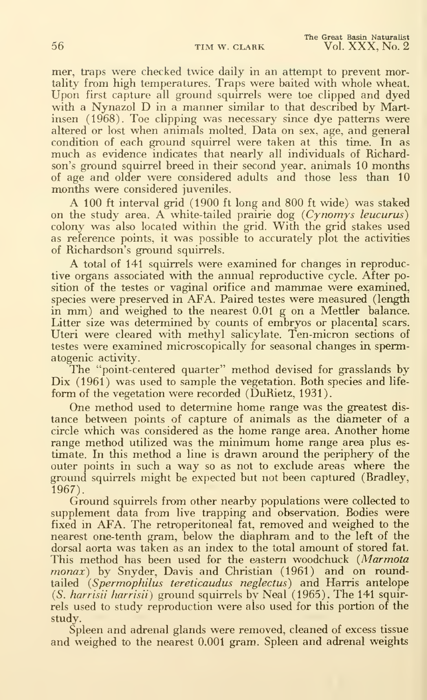mer, traps were checked twice daily in an attempt to prevent mortality from high temperatures. Traps were baited with whole wheat. Upon first capture all ground squirrels were toe clipped and dyed with <sup>a</sup> Nynazol D in <sup>a</sup> manner similar to that described by Martinsen (1968). Toe clipping was necessary since dye patterns were altered or lost when animals molted. Data on sex, age, and general condition of each ground squirrel were taken at this time. In as much as evidence indicates that nearly all individuals of Richardson's ground squirrel breed in their second year, animals 10 months of age and older were considered adults and those less than 10 months were considered juveniles.

A <sup>100</sup> ft interval grid (1900 ft long and 800 ft wide) was staked on the study area. A white-tailed prairie dog  $(Cynomys$  leucurus) colony was also located within the grid. With the grid stakes used as reference points, it was possible to accurately plot the activities of Richardson's ground squirrels.

A total of <sup>141</sup> squirrels were examined for changes in reproductive organs associated with the annual reproductive cycle. After position of the testes or vaginal orifice and mammae were examined, species were preserved in AFA. Paired testes were measured (length in mm) and weighed to the nearest 0.01 <sup>g</sup> on <sup>a</sup> Mettler balance. Litter size was determined by counts of embryos or placental scars. Uteri were cleared with methyl salicylate. Ten-micron sections of testes were examined microscopically for seasonal changes in spermatogenic activity.

The "point-centered quarter" method devised for grasslands by Dix (1961) was used to sample the vegetation. Both species and lifeform of the vegetation were recorded (DuRietz, 1931).

One method used to determine home range was the greatest dis tance between points of capture of animals as the diameter of a circle which was considered as the home range area. Another home range method utilized was the minimum home range area plus es timate. In this method a line is drawn around the periphery of the outer points in such <sup>a</sup> way so as not to exclude areas where the ground squirrels might be expected but not been captured (Bradley, 1967).

Ground squirrels from other nearby populations were collected to supplement data from live trapping and observation. Bodies were fixed in AFA. The retroperitoneal fat, removed and weighed to the nearest one-tenth gram, below the diaphram and to the left of the dorsal aorta was taken as an index to the total amount of stored fat. This method has been used for the eastern woodchuck (Marmota monax) by Snyder, Davis and Christian (1961) and on roundtailed (Spermophilus tereticaudus neglectus) and Harris antelope  $(S. harrisii harrisi)$  ground squirrels by Neal  $(1965)$ . The 141 squirrels used to study reproduction were also used for this portion of the study.

Spleen and adrenal glands were removed, cleaned of excess tissue and weighed to the nearest 0.001 gram. Spleen and adrenal weights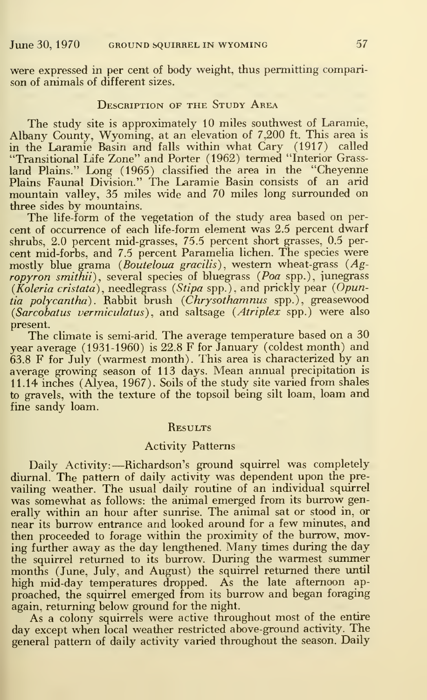were expressed in per cent of body weight, thus permitting comparison of animals of different sizes.

## DESCRIPTION OF THE STUDY AREA

The study site is approximately 10 miles southwest of Laramie, Albany County, Wyoming, at an elevation of 7,200 ft. This area is in the Laramie Basin and falls within what Gary (1917) called "Transitional Life Zone" and Porter (1962) termed "Interior Grass land Plains." Long (1965) classified the area in the "Cheyenne Plains Faunal Division." The Laramie Basin consists of an arid mountain valley, 35 miles wide and 70 miles long surrounded on three sides by mountains.

The life-form of the vegetation of the study area based on per cent of occurrence of each life-form element was 2.5 percent dwarf shrubs, 2.0 percent mid-grasses, 75.5 percent short grasses, 0.5 per cent mid-forbs, and 7.5 percent Paramelia lichen. The species were mostly blue grama (Bouteloua gracilis), western wheat-grass (Agropyron smithii), several species of bluegrass (Poa spp.), junegrass (*Koleria cristata*), needlegrass (*Stipa* spp.), and prickly pear (Opun*tia polycantha*). Rabbit brush (*Chrysothamnus* spp.), greasewood (Sarcobatus vermiculatus), and saltsage (Atriplex spp.) were also present.

The climate is semi-arid. The average temperature based on <sup>a</sup> 30 year average (1931-1960) is 22.8 F for January (coldest month) and 63.8 F for July (warmest month). This area is characterized by an average growing season of 113 days. Mean annual precipitation is 11.14 inches (Alyea, 1967). Soils of the study site varied from shales to gravels, with the texture of the topsoil being silt loam, loam and fine sandy loam.

#### **RESULTS**

## Activity Patterns

Daily Activity:-Richardson's ground squirrel was completely diurnal. The pattern of daily activity was dependent upon the prevailing weather. The usual daily routine of an individual squirrel was somewhat as follows: the animal emerged from its burrow generally within an hour after sunrise. The animal sat or stood in, or near its burrow entrance and looked around for <sup>a</sup> few minutes, and then proceeded to forage within the proximity of the burrow, moving further away as the day lengthened. Many times during the day the squirrel returned to its burrow. During the warmest summer months (June, July, and August) the squirrel returned there until high mid-day temperatures dropped. As the late afternoon ap proached, the squirrel emerged from its burrow and began foraging again, returning below ground for the night.

As a colony squirrels were active throughout most of the entire day except when local weather restricted above-ground activity. The general pattern of daily activity varied throughout the season. Daily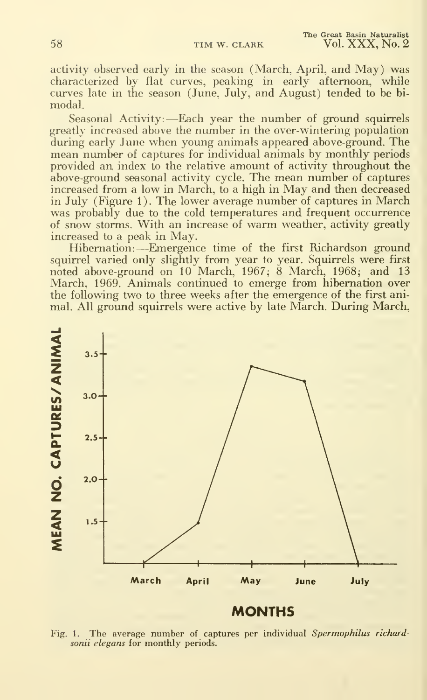activity observed early in the season (March, April, and May) was characterized by flat curves, peaking in early afternoon, while curves late in the season (June, July, and August) tended to be bi modal.

Seasonal Activity:—Each year the number of ground squirrels greatly increased above the number in the over-wintering population during early June when young animals appeared above-ground. The mean number of captures for individual animals by monthly periods provided an index to the relative amount of activity throughout the above-ground seasonal activity cycle. The mean number of captures increased from <sup>a</sup> low in March, to <sup>a</sup> high in May and then decreased in July (Figure 1). The lower average number of captures in March was probably due to the cold temperatures and frequent occurrence of snow storms. With an increase of warm weather, activity greatly increased to a peak in May.

Hibernation: —Emergence time of the first Richardson ground squirrel varied only slightly from year to year. Squirrels were first noted above-ground on 10 March, 1967; 8 March, 1968; and 13 March, 1969. Animals continued to emerge from hibernation over the following two to three weeks after the emergence of the first animal. All ground squirrels were active by late March. During March,



# **MONTHS**

Fig. 1. The average number of captures per individual Spermophilus richardsonii elegans for monthly periods.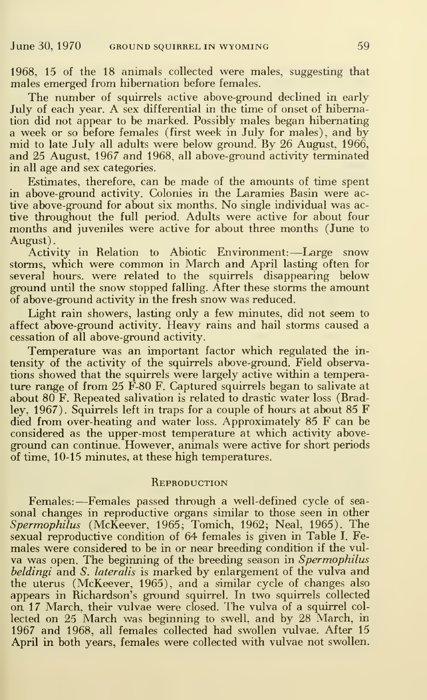1968, 15 of the 18 animals collected were males, suggesting that males emerged from hibernation before females.

The number of squirrels active above-ground declined in early July of each year. A sex differential in the time of onset of hibernation did not appear to be marked. Possibly males began hibernating a week or so before females (first week in July for males), and by mid to late July all adults were below ground. By 26 August, 1966, and 25 August, 1967 and 1968, all above-ground activity terminated in all age and sex categories.

Estimates, therefore, can be made of the amounts of time spent in above-ground activity. Colonies in the Laramies Basin were active above-ground for about six months. No single individual was active throughout the full period. Adults were active for about four months and juveniles were active for about three months (June to August).

Activity in Relation to Abiotic Environment: —Large snow storms, which were common in March and April lasting often for several hours, were related to the squirrels disappearing below ground until the snow stopped falhng. After these storms the amount of above-ground activity in the fresh snow was reduced.

Light rain showers, lasting only a few minutes, did not seem to affect above-ground activity. Heavy rains and hail storms caused a cessation of all above-ground activity.

Temperature was an important factor which regulated the in tensity of the activity of the squirrels above-ground. Field observations showed that the squirrels were largely active within a temperature range of from 25 F-80 F. Captured squirrels began to salivate at about 80 F. Repeated salivation is related to drastic water loss (Bradley, 1967). Squirrels left in traps for <sup>a</sup> couple of hours at about 85 F died from over-heating and water loss. Approximately 85 F can be considered as the upper-most temperature at which activity aboveground can continue. However, animals were active for short periods of time, 10-15 minutes, at these high temperatures.

## **REPRODUCTION**

Females: —Females passed through <sup>a</sup> well-defined cycle of sea sonal changes in reproductive organs similar to those seen in other Spermophilus (McKeever, 1965; Tomich, 1962; Neal, 1965). The sexual reproductive condition of 64 females is given in Table I. Females were considered to be in or near breeding condition if the vul va was open. The beginning of the breeding season in Spermophilus beldingi and S. lateralis is marked by enlargement of the vulva and the uterus (McKeever, 1965), and a similar cycle of changes also appears in Richardson's ground squirrel. In two squirrels collected on 17 March, their vulvae were closed. The vulva of a squirrel col lected on 25 March was beginning to swell, and by 28 March, in 1967 and 1968, all females collected had swollen vulvae. After 15 April in both years, females were collected with vulvae not swollen.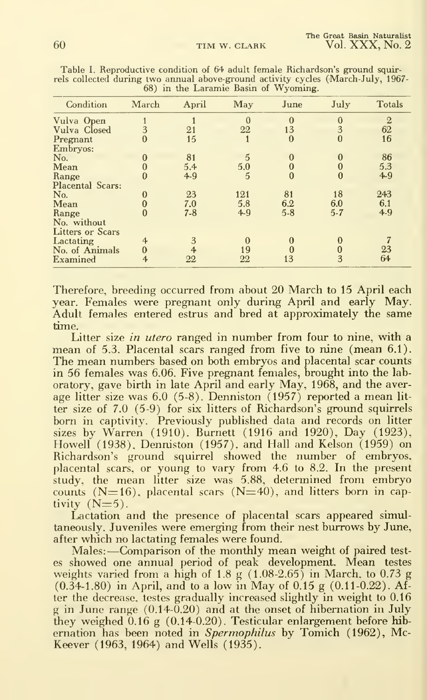| Condition               | March          | April          | May            | June         | July         | <b>Totals</b>    |
|-------------------------|----------------|----------------|----------------|--------------|--------------|------------------|
| Vulva Open              |                |                | $\mathbf{0}$   | $\bf{0}$     | $\bf{0}$     | $\boldsymbol{2}$ |
| Vulva Closed            | 3              | 21             | 22             | 13           | 3            | 62               |
| Pregnant                | $\mathbf{0}$   | 15             |                | $\mathbf{0}$ | $\bf{0}$     | 16               |
| Embryos:                |                |                |                |              |              |                  |
| No.                     |                | 81             | $\overline{5}$ | $\Omega$     | $\Omega$     | 86               |
| Mean                    |                | 5.4            | 5.0            | $\Omega$     |              | 5.3              |
| Range                   | 0              | $4 - 9$        | 5              | $\bf{0}$     | $\bf{0}$     | 4.9              |
| <b>Placental Scars:</b> |                |                |                |              |              |                  |
| No.                     | $\Omega$       | 23             | 121            | 81           | 18           | 243              |
| Mean                    |                | 7.0            | 5.8            | 6.2          | 6.0          | 6.1              |
| Range                   |                | $7 - 8$        | $4 - 9$        | $5 - 8$      | $5 - 7$      | $4-9$            |
| No. without             |                |                |                |              |              |                  |
| <b>Litters or Scars</b> |                |                |                |              |              |                  |
| Lactating               | $\overline{4}$ | 3              | $\mathbf{0}$   | $\mathbf{0}$ | 0            |                  |
| No. of Animals          | $\mathbf{0}$   | $\overline{4}$ | 19             | $\Omega$     | $\mathbf{0}$ | 23               |
| Examined                | 4              | 22             | 22             | 13           | 3            | 64               |

Table I. Reproductive condition of 64 adult female Richardson's ground squirrels collected during two annual above-ground activity cycles (March-July, 1967- 68) in the Laramie fiasin of Wyoming.

Therefore, breeding occurred from about 20 March to 15 April each year. Females were pregnant only during April and early May.<br>Adult females entered estrus and bred at approximately the same time.

Litter size in utero ranged in number from four to nine, with a mean of 5.3. Placental scars ranged from five to nine (mean 6.1).<br>The mean numbers based on both embryos and placental scar counts in 56 females was 6.06. Five pregnant females, brought into the laboratory, gave birth in late April and early May, 1968, and the average litter size was 6.0 (5-8). Denniston (1957) reported a mean litter size of 7.0 (5-9) for six litters of Richardson's ground squirrels born in captivity. Previously published data and records on litter sizes by Warren (1910), Burnett (1916 and 1920), Day (1923), Howell (1938), Denniston (1957), and Hall and Kelson (1959) on Richardson's ground squirrel showed the number of embryos,<br>placental scars, or young to vary from 4.6 to 8.2. In the present<br>study, the mean litter size was 5.88, determined from embryo<br>counts (N=16), placental scars (N=4 tivity  $(N=5)$ .

Lactation and the presence of placental scars appeared simultaneously. Juveniles were emerging from their nest burrows by June, after which no lactating females were found.

Males:-Comparison of the monthly mean weight of paired testes showed one annual period of peak development. Mean testes weights varied from a high of  $1.8 \text{ g}$   $(1.08-2.65)$  in March, to 0.73 g  $(0.34-1.80)$  in April, and to a low in May of  $0.15$  g  $(0.11-0.22)$ . After the decrease, testes gradually increased slightly in weight to 0.16  $g$  in June range  $(0.14-0.20)$  and at the onset of hibernation in July they weighed  $0.16$  g (0.14-0.20). Testicular enlargement before hibernation has been noted in Spermophilus by Tomich (1962), Mc-Keever (1963, 1964) and Wells (1935).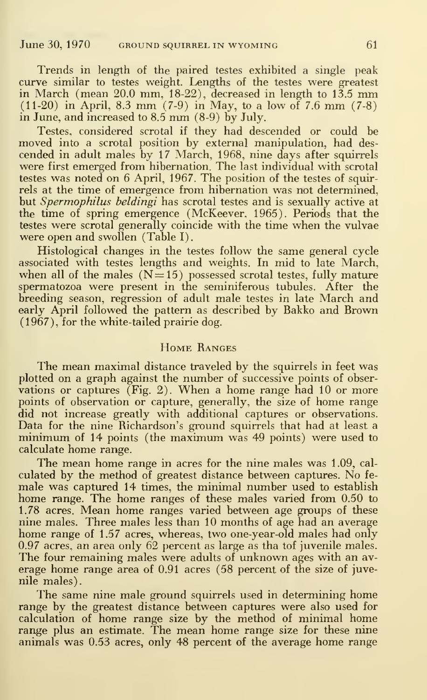Trends in length of the paired testes exhibited a single peak curve similar to testes weight. Lengths of the testes were greatest in March (mean 20.0 mm, 18-22), decreased in length to 13.5 mm (11-20) in April, 8.3 mm (7-9) in May, to <sup>a</sup> low of 7.6 mm (7-8) in June, and increased to 8.5 mm (8-9) by July.

Testes, considered scrotal if they had descended or could be moved into a scrotal position by external manipulation, had des cended in adult males by 17 March, 1968, nine days after squirrels were first emerged from hibernation. The last individual with scrotal testes was noted on 6 April, 1967. The position of the testes of squirrels at the time of emergence from hibernation was not determined, but Spermophilus beldingi has scrotal testes and is sexually active at the time of spring emergence (McKeever, 1965). Periods that the testes were scrotal generally coincide with the time when the vulvae were open and swollen (Table I).

Histological changes in the testes follow the same general cycle associated with testes lengths and weights. In mid to late March, when all of the males  $(N=15)$  possessed scrotal testes, fully mature spermatozoa were present in the seminiferous tubules. After the breeding season, regression of adult male testes in late March and early April followed the pattern as described by Bakko and Brown (1967), for the white-tailed prairie dog.

# Home Ranges

The mean maximal distance traveled by the squirrels in feet was plotted on a graph against the number of successive points of observations or captures (Fig. 2). When <sup>a</sup> home range had <sup>10</sup> or more points of observation or capture, generally, the size of home range did not increase greatly with additional captures or observations.<br>Data for the nine Richardson's ground squirrels that had at least a minimum of 14 points (the maximum was 49 points) were used to calculate home range.

The mean home range in acres for the nine males was 1.09, cal culated by the method of greatest distance between captures. No fe male was captured 14 times, the minimal number used to establish home range. The home ranges of these males varied from 0.50 to 1.78 acres. Mean home ranges varied between age groups of these nine males. Three males less than 10 months of age had an average home range of 1.57 acres, whereas, two one-year-old males had only  $0.97$  acres, an area only  $62$  percent as large as tha tof juvenile males. The four remaining males were adults of unknown ages with an average home range area of 0.91 acres (58 percent of the size of juvenile males).

The same nine male ground squirrels used in determining home range by the greatest distance between captures were also used for calculation of home range size by the method of minimal home range plus an estimate. The mean home range size for these nine animals was 0.53 acres, only 48 percent of the average home range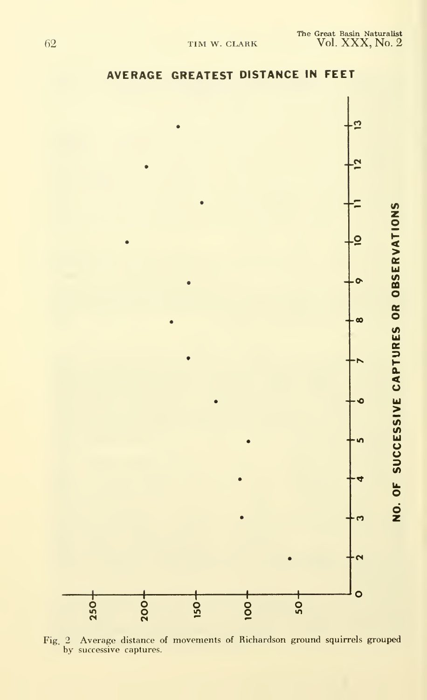

AVERAGE GREATEST DISTANCE IN FEET

Fig. 2 Average distance of movements of Richardson ground squirrels grouped by successive captures.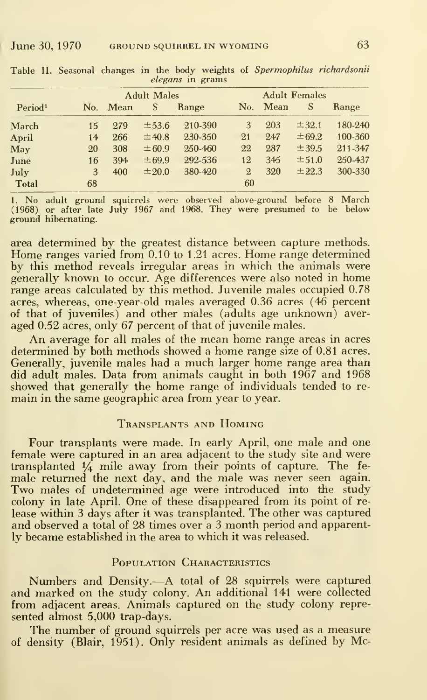|                     |  |     |        | <b>Adult Males</b> |         |              |      |            |         |  |
|---------------------|--|-----|--------|--------------------|---------|--------------|------|------------|---------|--|
| Period <sup>1</sup> |  | No. | $Mean$ | S                  | Range   | No.          | Mean | S          | Range   |  |
| March               |  | 15  | 279    | ±53.6              | 210-390 | 3            | 203  | ±32.1      | 180-240 |  |
| April               |  | 14  | 266    | ±40.8              | 230-350 | 21           | 247  | $\pm 69.2$ | 100-360 |  |
| $\mathbf{M}$ ay     |  | 20  | 308    | ± 60.9             | 250-460 | 22           | 287  | ±39.5      | 211-347 |  |
| June                |  | 16  | 394    | ±69.9              | 292-536 | 12           | 345  | ±51.0      | 250-437 |  |
| July                |  | 3   | 400    | ±20.0              | 380-420 | $\mathbf{2}$ | 320  | ± 22.3     | 300-330 |  |
| Total               |  | 68  |        |                    |         | 60           |      |            |         |  |

Table II. Seasonal changes in the body weights of Spermophilus richardsonii elegans in grams

1. No adult ground squirrels were observed above-ground before 8 March (1968) or after late July 1967 and 1968. They were presumed to be below ground hibernating.

area determined by the greatest distance between capture methods. Home ranges varied from 0.10 to 1.21 acres. Home range determined by this method reveals irregular areas in which the animals were generally known to occur. Age differences were also noted in home range areas calculated by this method. Juvenile males occupied 0.78 acres, whereas, one-year-old males averaged 0.36 acres (46 percent of that of juveniles) and other males (adults age unknown) averaged 0.52 acres, only 67 percent of that of juvenile males.

An average for all males of the mean home range areas in acres determined by both methods showed a home range size of 0.81 acres. Generally, juvenile males had a much larger home range area than did adult males. Data from animals caught in both 1967 and 1968 showed that generally the home range of individuals tended to remain in the same geographic area from year to year.

# TRANSPLANTS AND HOMING

Four transplants were made. In early April, one male and one female were captured in an area adjacent to the study site and were transplanted  $\frac{1}{4}$  mile away from their points of capture. The female returned the next day, and the male was never seen again. Two males of undetermined age were introduced into the study colony in late April. One of these disappeared from its point of release within 3 days after it was transplanted. The other was captured and observed a total of 28 times over a 3 month period and apparently became established in the area to which it was released.

#### POPULATION CHARACTERISTICS

Numbers and Density.—A total of 28 squirrels were captured and marked on the study colony. An additional  $141$  were collected from adjacent areas. Animals captured on the study colony represented almost 5,000 trap-days.

The number of ground squirrels per acre was used as a measure of density (Blair, 1951). Only resident animals as defined by Mc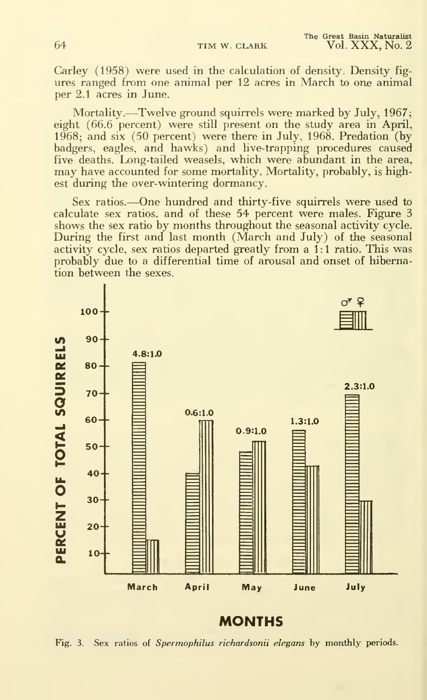64 TIM W. CLARK

Carley (1958) were used in the calculation of density. Density fig ures ranged from one animal per 12 acres in March to one animal per 2.1 acres in June.

Mortality.—Twelve ground squirrels were marked by July, 1967; eight (66.6 percent) were still present on the study area in April, 1968; and six (50 percent) were there in July, 1968. Predation (by badgers, eagles, and hawks) and live-trapping procedures caused five deaths. Long-tailed weasels, which were abundant in the area, may have accounted for some mortality. Mortality, probably, is highest during the over-wintering dormancy.

Sex ratios.—One hundred and thirty-five squirrels were used to calculate sex ratios, and of these 54 percent were males. Figure 3 shows the sex ratio by months throughout the seasonal activity cycle. During the first and last month (March and July) of the seasonal activity cycle, sex ratios departed greatly from a 1:1 ratio. This was probably due to a differential time of arousal and onset of hibernation between the sexes.



MONTHS

Fig. 3. Sex ratios of Spermophilus richardsonii elegans by monthly periods.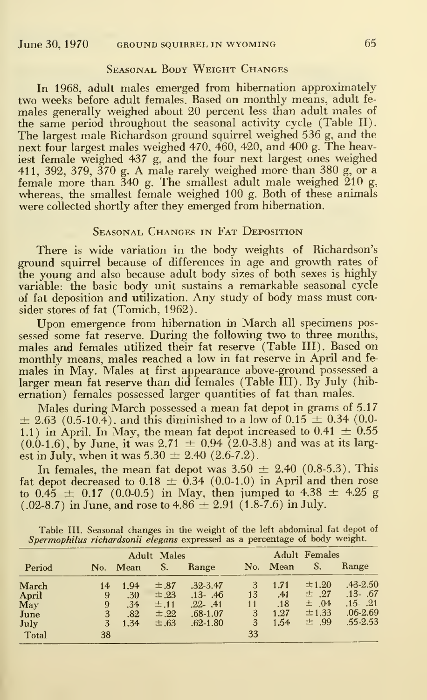# Seasonal Body Weight Changes

In 1968, adult males emerged from hibernation approximately two weeks before adult females. Based on monthly means, adult fe males generally weighed about 20 percent less than adult males of the same period throughout the seasonal activity cycle (Table II). The largest male Richardson ground squirrel weighed 536 g, and the next four largest males weighed 470, 460, 420, and 400 g. The heaviest female weighed 437 g, and the four next largest ones weighed 411, 392, 379, <sup>370</sup> g. A male rarely weighed more than <sup>380</sup> g, or <sup>a</sup> female more than. 340 g. The smallest adult male weighed 210 g, whereas, the smallest female weighed 100 g. Both of these animals were collected shortly after they emerged from hibernation.

# Seasonal Changes in Fat Deposition

There is wide variation in the body weights of Richardson's ground squirrel because of differences in age and growth rates of the young and also because adult body sizes of both sexes is highly variable: the basic body unit sustains a remarkable seasonal cycle of fat deposition and utilization. Any study of body mass must consider stores of fat (Tomich, 1962).

Upon emergence from hibernation in March all specimens pos sessed some fat reserve. During the following two to three months, males and females utilized their fat reserve (Table III). Based on monthly means, males reached <sup>a</sup> low in fat reserve in April and fe males in May. Males at first appearance above-ground possessed a larger mean fat reserve than did females (Table III). By July (hibernation) females possessed larger quantities of fat than males.

Males during March possessed <sup>a</sup> mean fat depot in grams of 5.17  $\pm$  2.63 (0.5-10.4), and this diminished to a low of 0.15  $\pm$  0.34 (0.0-1.1) in April. In May, the mean fat depot increased to 0.41  $\pm$  0.55  $(0.0-1.6)$ , by June, it was 2.71  $\pm$  0.94 (2.0-3.8) and was at its largest in July, when it was  $5.30 \pm 2.40$  (2.6-7.2).

In females, the mean fat depot was  $3.50 \pm 2.40$  (0.8-5.3). This fat depot decreased to  $0.18 \pm 0.34$  (0.0-1.0) in April and then rose to  $0.45 \pm 0.17$  (0.0-0.5) in May, then jumped to  $4.38 \pm 4.25$  g  $(.02-8.7)$  in June, and rose to  $4.86 \pm 2.91\,\, (1.8-7.6)$  in July.

|  | Table III. Seasonal changes in the weight of the left abdominal fat depot of |  |
|--|------------------------------------------------------------------------------|--|
|  | Spermophilus richardsonii elegans expressed as a percentage of body weight.  |  |

|        |     |      | <b>Adult Males</b> |              | <b>Adult Females</b> |          |         |              |  |  |
|--------|-----|------|--------------------|--------------|----------------------|----------|---------|--------------|--|--|
| Period | No. | Mean | S.                 | Range        |                      | No. Mean | S.      | Range        |  |  |
| March  | 14  | 1.94 | $\pm .87$          | $.32 - 3.47$ | 3                    | 1.71     | ±1.20   | $.43 - 2.50$ |  |  |
| April  | 9   | .30  | $\pm .23$          | $.13 - .46$  | 13                   | .41      | $±$ .27 | $.13 - .67$  |  |  |
| May    | 9   | .34  | $\pm .11$          | $.22 - .41$  | 11                   | .18      | $±$ .04 | $.15 - .21$  |  |  |
| June   | 3   | .82  | $\pm .22$          | $.68 - 1.07$ | 3                    | 1.27     | ±1.33   | $.06 - 2.69$ |  |  |
| July   | 3   | 1.34 | $\pm .63$          | $.62 - 1.80$ | 3                    | 1.54     | ± .99   | $.55 - 2.53$ |  |  |
| Total  | 38  |      |                    |              | 33                   |          |         |              |  |  |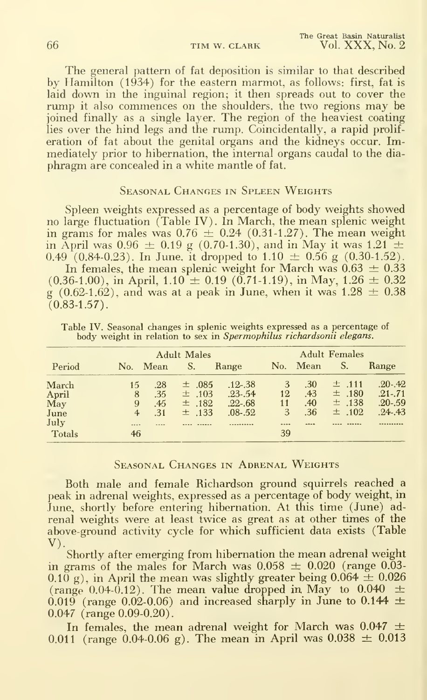The general pattern of fat deposition is similar to that described by Hamilton (1934) for the eastern marmot, as follows: first, fat is laid down in the inguinal region; it then spreads out to cover the rump it also commences on the shoulders, the two regions may be joined finally as a single layer. The region of the heaviest coating lies over the hind legs and the rump. Coincidentally, a rapid proliferation of fat about the genital organs and the kidneys occur. Immediately prior to hibernation, the internal organs caudal to the dia phragm are concealed in a white mantle of fat.

# Seasonal Changes in Spleen Weights

Spleen weights expressed as a percentage of body weights showed no large fluctuation (Table IV). In March, the mean splenic weight in grams for males was  $0.76 \pm 0.24$  (0.31-1.27). The mean weight in April was 0.96  $\pm$  0.19 g (0.70-1.30), and in May it was 1.21  $\pm$ 0.49 (0.84-0.23). In June, it dropped to  $1.10 \pm 0.56$  g (0.30-1.52).

In females, the mean splenic weight for March was  $0.63\,\pm\,0.33$  $(0.36-1.00)$ , in April,  $1.10 \pm 0.19$   $(0.71-1.19)$ , in May,  $1.26 \pm 0.32$ g (0.62-1.62), and was at a peak in June, when it was  $1.28 \pm 0.38$  $(0.83 - 1.57)$ .

|        |                | <b>Adult Males</b> |            |             |    |          | <b>Adult Females</b> |             |  |  |  |
|--------|----------------|--------------------|------------|-------------|----|----------|----------------------|-------------|--|--|--|
| Period | No. Mean       |                    | S.         | Range       |    | No. Mean | S.                   | Range       |  |  |  |
| March  | 15             | .28                | $\pm$ .085 | $.12 - .38$ | 3  | .30      | $±$ .111             | $.20 - .42$ |  |  |  |
| April  | 8              | .35                | $\pm$ .103 | $.23 - .54$ | 12 | .43      | $\pm$ .180           | $.21 - .71$ |  |  |  |
| May    | 9              | .45                | $\pm$ .182 | $.22 - .68$ | 11 | .40      | $±$ .138             | $.20 - .59$ |  |  |  |
| June   | $\overline{4}$ | .31                | $\pm$ .133 | $.08 - .52$ | 3  | .36      | $\pm$ .102           | $.24 - .43$ |  |  |  |
| July   | $1 + 1$        |                    |            |             |    |          |                      |             |  |  |  |
| Totals | 46             |                    |            |             | 39 |          |                      |             |  |  |  |

Table IV. Seasonal changes in splenic weights expressed as a percentage of body weight in relation to sex in Spermophilus richardsonii elegans.

# SEASONAL CHANGES IN ADRENAL WEIGHTS

Both male and female Richardson ground squirrels reached a peak in adrenal weights, expressed as a percentage of body weight, in June, shortly before entering hibernation. At this time (June) adrenal weights were at least twice as great as at other times of the above-ground activity cycle for which sufficient data exists (Table  $V$ ).

Shortly after emerging from hibernation the mean adrenal weight in grams of the males for March was  $0.058 \pm 0.020$  (range 0.03-0.10 g), in April the mean was slightly greater being  $0.064 \pm 0.026$ (range 0.04-0.12). The mean value dropped in May to 0.040  $\pm$ 0.019 (range 0.02-0.06) and increased sharply in June to 0.144  $\pm$ 0.047 (range 0.09-0.20).

In females, the mean adrenal weight for March was  $0.047 \pm$ 0.011 (range 0.04-0.06 g). The mean in April was  $0.038 \pm 0.013$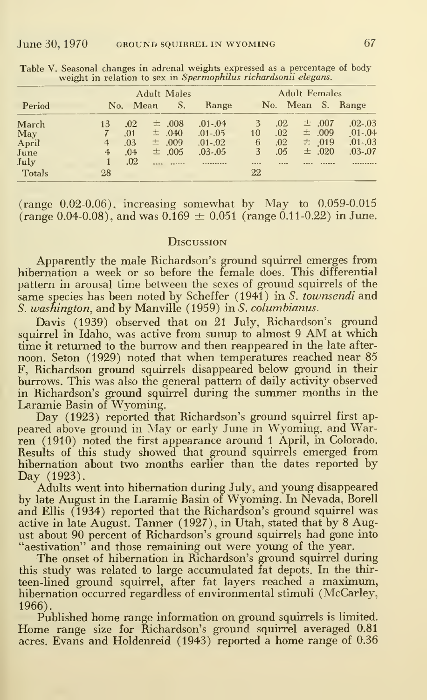|        |                | <b>Adult Males</b> |  |            |             |    | <b>Adult Females</b> |  |            |                   |  |
|--------|----------------|--------------------|--|------------|-------------|----|----------------------|--|------------|-------------------|--|
| Period |                | No. Mean           |  | S.         | Range       |    |                      |  |            | No. Mean S. Range |  |
| March  | 13             | .02                |  | $\pm$ .008 | $.01 - .04$ | 3  | .02                  |  | $\pm$ .007 | $.02 - .03$       |  |
| May    |                | .01                |  | $\pm$ .040 | $.01 - .05$ | 10 | .02                  |  | ±.009      | $01-.04$          |  |
| April  | $\overline{4}$ | .03                |  | $\pm$ .009 | $.01 - .02$ | 6  | .02                  |  | $\pm$ 019  | $.01-.03$         |  |
| June   | 4              | .04                |  | ±.005      | $.03 - .05$ | 3  | .05                  |  | $\pm$ .020 | $.03 - .07$       |  |
| July   |                | .02                |  |            |             |    |                      |  |            |                   |  |
| Totals | 28             |                    |  |            |             | 22 |                      |  |            |                   |  |

Table V. Seasonal changes in adrenal weights expressed as a percentage of body weight in relation to sex in Spermophilus richardsonii elegans.

(range  $0.02-0.06$ ), increasing somewhat by May to  $0.059-0.015$ (range 0.04-0.08), and was  $0.169 \pm 0.051$  (range 0.11-0.22) in June.

# **DISCUSSION**

Apparently the male Richardson's ground squirrel emerges from<br>hibernation a week or so before the female does. This differential pattern in arousal time between the sexes of ground squirrels of the same species has been noted by Scheffer (1941) in S. townsendi and S. washington, and by Manville (1959) in S. columbianus.

Davis (1939) observed that on 21 July, Richardson's ground squirrel in Idaho, was active from sunup to almost 9 AM at which time it returned to the burrow and then reappeared in the late afternoon. Seton (1929) noted that when temperatures reached near 85 F, Richardson ground squirrels disappeared below ground in their burrows. This was also the general pattern of daily activity observed in Richardson's ground squirrel during the summer months in the Laramie Basin of Wyoming.

Day (1923) reported that Richardson's ground squirrel first appeared above ground in May or early June in Wyoming, and Warren (1910) noted the first appearance around 1 April, in Colorado. Results of this study showed that ground squirrels emerged from<br>hibernation about two months earlier than the dates reported by Day (1923).

Adults went into hibernation during July, and young disappeared<br>by late August in the Laramie Basin of Wyoming. In Nevada, Borell and Ellis (1934) reported that the Richardson's ground squirrel was active in late August. Tanner (1927), in Utah, stated that by 8 August about 90 percent of Richardson's ground squirrels had gone into<br>"aestivation" and those remaining out were young of the year.<br>The onset of hibernation in Richardson's ground squirrel during

this study was related to large accumulated fat depots. In the thirteen-lined ground squirrel, after fat layers reached a maximum,<br>hibernation occurred regardless of environmental stimuli (McCarley,  $1966$ ).

Published home range information on ground squirrels is limited. Home range size for Richardson's ground squirrel averaged 0.81 acres. Evans and Holdenreid (1943) reported a home range of 0.36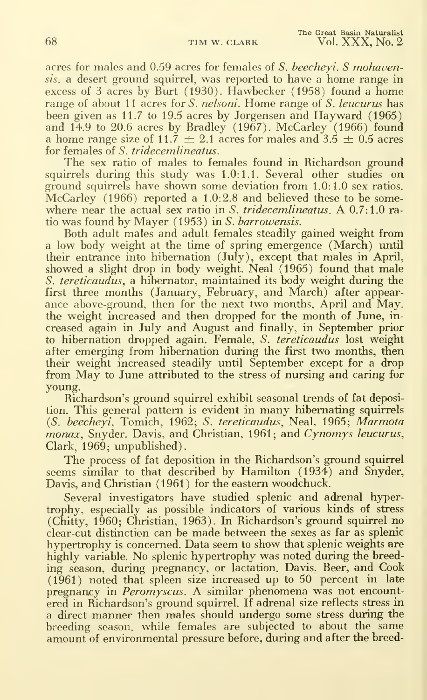acres for males and 0.59 acres for females of S. beecheyi. S mohavensis, a desert ground squirrel, was reported to have <sup>a</sup> home range in excess of 3 acres by Burt (1930). Hawbecker (1958) found a home range of about 11 acres for *S. nelsoni*. Home range of *S. leucurus* has been given as 11.7 to 19.5 acres by Jorgensen and Hayward (1965) and  $14.9$  to  $20.6$  acres by Bradley (1967). McCarley (1966) found a home range size of 11.7  $\pm$  2.1 acres for males and 3.5  $\pm$  0.5 acres for females of S. tridecemlineatus.

The sex ratio of males to females found in Richardson ground squirrels during this study was 1.0:1.1. Several other studies on ground squirrels have shown some deviation from 1.0:1.0 sex ratios. McCarley (1966) reported a 1.0:2.8 and believed these to be some where near the actual sex ratio in S. tridecemlineatus. A 0.7:1.0 ratio was found by Mayer (1953) in S. barrowensis.

Both adult males and adult females steadily gained weight from a low body weight at the time of spring emergence (March) until their entrance into hibernation (July), except that males in April, showed a slight drop in body weight. Neal (1965) found that male S. tereticaudus, a hibernator, maintained its body weight during the first three months (January, February, and March) after appear ance above-ground, then for the next two months. April and May. the weight increased and then dropped for the month of June, in creased again in July and August and finally, in September prior to hibernation dropped again. Female. S. tereticaudus lost weight after emerging from hibernation during the first two months, then their weight increased steadily until September except for a drop from May to June attributed to the stress of nursing and caring for young.

Richardson's ground squirrel exhibit seasonal trends of fat deposition. This general pattern is evident in many hibernating squirrels (5. beecheyi., Tomich, 1962; S. tereticaudus, Neal, 1965; Marmota monax, Snyder, Davis, and Christian, 1961; and Cynomys leucurus, Clark, 1969; unpublished).

The process of fat deposition in the Richardson's ground squirrel seems similar to that described by Hamilton (1934) and Snyder, Davis, and Christian (1961 ) for the eastern woodchuck.

Several investigators have studied splenic and adrenal hypertrophy, especially as possible indicators of various kinds of stress (Chitty, 1960; Christian, 1963). In Richardson's ground squirrel no clear-cut distinction can be made between the sexes as far as splenic hypertrophy is concerned. Data seem to show that splenic weights are highly variable. No splenic hypertrophy was noted during the breeding season, during pregnancy, or lactation. Davis. Beer, and Cook  $(1961)$  noted that spleen size increased up to 50 percent in late pregnancy in Peromyscus. A similar phenomena was not encountered in Richardson's ground squirrel. If adrenal size reflects stress in a direct manner then males should undergo some stress during the breeding season, while females are subjected to about the same amount of environmental pressure before, during and after the breed-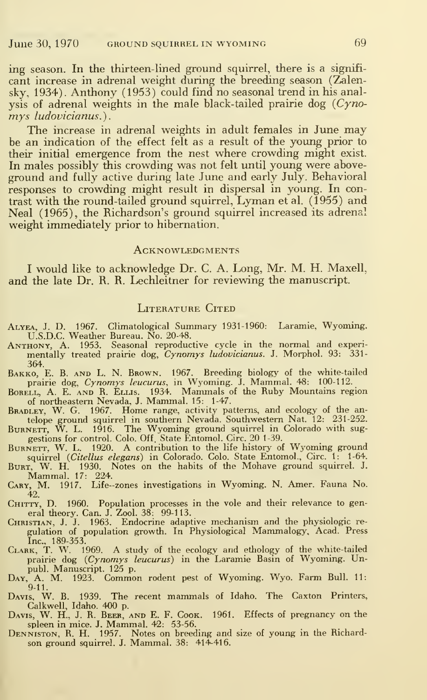ing season. In the thirteen-lined ground squirrel, there is a signifi cant increase in adrenal weight during the breeding season (Zalensky, 1934). Anthony (1953) could find no seasonal trend in his analysis of adrenal weights in the male black-tailed prairie dog  $(Cyno$ mys ludovicianus.).

The increase in adrenal weights in adult females in June may be an indication of the effect felt as a result of the young prior to their initial emergence from the nest where crowding might exist. In males possibly this crowding was not felt until young were aboveground and fully active during late June and early July. Behavioral responses to crowding might result in dispersal in young. In contrast with the round-tailed ground squirrel, Lyman etal. (1955) and Neal (1965), the Richardson's ground squirrel increased its adrenal weight immediately prior to hibernation.

#### **ACKNOWLEDGMENTS**

<sup>I</sup> would like to acknowledge Dr. C. A. Long, Mr. M. H. Maxell, and the late Dr. R. R. Lechleitner for reviewing the manuscript.

#### LITERATURE CITED

- Alyea, J. D. 1967. Climatological Summary 1931-1960: Laramie, Wyoming. U.S.D.C. Weather Bureau. No. 20-48.
- ANTHONY, A. 1953. Seasonal reproductive cycle in the normal and experi-<br>mentally treated prairie dog, *Cynomys ludovicianus*. J. Morphol. 93: 331-
- 304.<br>BAKKO, E. B. AND L. N. BROWN. 1967. Breeding biology of the white-tailed<br>prairie dog, *Cynomys leucurus*, in Wyoming. J. Mammal. 48: 100-112.<br>BORELL, A. E. AND R. ELLIS. 1934. Mammals of the Ruby Mountains region<br>of n
- 
- BRADLEY, W. G. 1967. Home range, activity patterns, and ecology of the antelope ground squirrel in southern Nevada. Southwestern Nat. 12: 231-252.<br>BURNETT, W. L. 1916. The Wyoming ground squirrel in Colorado with suggestio
- BURNETT, W. L. 1920. A contribution to the life history of Wyoming ground
- squirrel *(Citellus elegans*) in Colorado. Colo. State Entomol., Circ. 1: 1-64.<br>Burr, W. H. 1930. Notes on the habits of the Mohave ground squirrel. J.<br>Mammal. 17: 224. .<br>CARY, M. 1917. Life--zones investigations in Wyomin
- 42.
- CHITTY, D. 1960. Population processes in the vole and their relevance to gen-
- eral theory. Can. J. Zool. 38: 99-113.<br>CHRISTIAN, J. J. 1963. Endocrine adaptive mechanism and the physiologic regulation of population growth. In Physiological Mammalogy, Acad. Press<br>Inc., 189-353.<br>CLARK, T. W. 1969. A s
- 
- publ. Manuscript. 125 p.<br>Day, A. M. 1923. Common rodent pest of Wyoming. Wyo. Farm Bull. 11:<br>9-11.
- Davis, W. B. 1939. The recent mammals of Idaho. The Caxton Printers,<br>Calkwell, Idaho. 400 p.<br>Davis, W. H., J. R. Beer, and E. F. Cook. 1961. Effects of pregnancy on the
- spleen in mice. J. Mammal. 42: 53-56.
- Denniston. R. H. 1957. Notes on breeding and size of young in the Richard- son ground squirrel. J. Mammal. 38: 414-416.